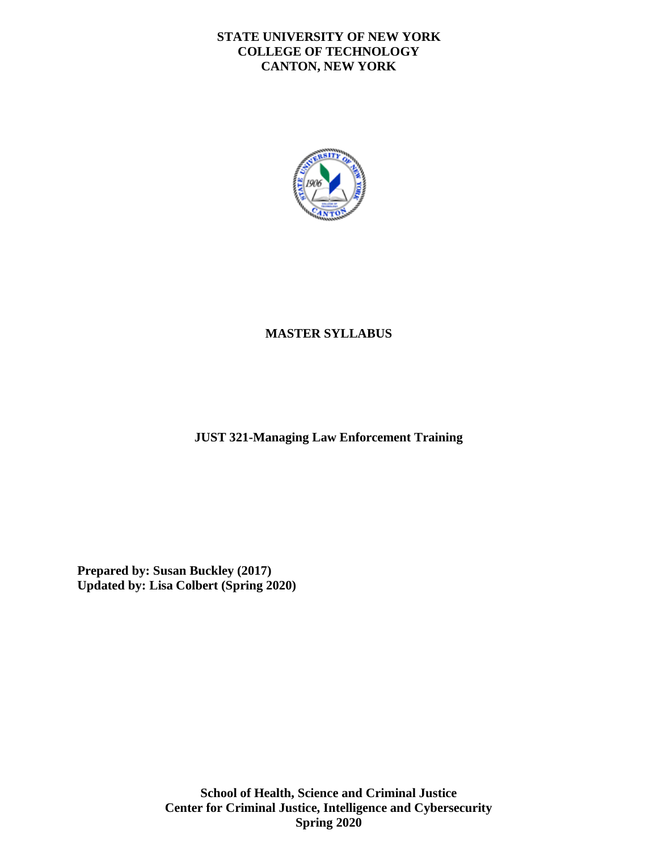### **STATE UNIVERSITY OF NEW YORK COLLEGE OF TECHNOLOGY CANTON, NEW YORK**



# **MASTER SYLLABUS**

**JUST 321-Managing Law Enforcement Training** 

**Prepared by: Susan Buckley (2017) Updated by: Lisa Colbert (Spring 2020)**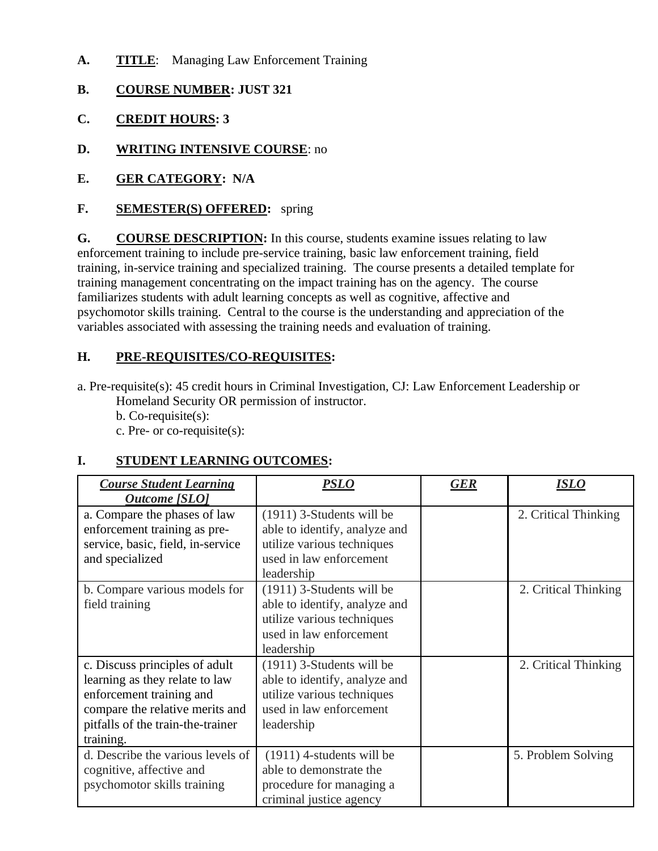- **A. TITLE**: Managing Law Enforcement Training
- **B. COURSE NUMBER: JUST 321**
- **C. CREDIT HOURS: 3**
- **D. WRITING INTENSIVE COURSE**: no
- **E. GER CATEGORY: N/A**
- **F. SEMESTER(S) OFFERED:** spring

**G. COURSE DESCRIPTION:** In this course, students examine issues relating to law enforcement training to include pre-service training, basic law enforcement training, field training, in-service training and specialized training. The course presents a detailed template for training management concentrating on the impact training has on the agency. The course familiarizes students with adult learning concepts as well as cognitive, affective and psychomotor skills training. Central to the course is the understanding and appreciation of the variables associated with assessing the training needs and evaluation of training.

# **H. PRE-REQUISITES/CO-REQUISITES:**

a. Pre-requisite(s): 45 credit hours in Criminal Investigation, CJ: Law Enforcement Leadership or Homeland Security OR permission of instructor.

b. Co-requisite(s):

c. Pre- or co-requisite(s):

# **I. STUDENT LEARNING OUTCOMES:**

| <b>Course Student Learning</b><br><b>Outcome</b> [SLO]                                                                                                                            | <i><b>PSLO</b></i>                                                                                                                  | <b>GER</b> | ISLO                 |
|-----------------------------------------------------------------------------------------------------------------------------------------------------------------------------------|-------------------------------------------------------------------------------------------------------------------------------------|------------|----------------------|
| a. Compare the phases of law<br>enforcement training as pre-<br>service, basic, field, in-service<br>and specialized                                                              | $(1911)$ 3-Students will be<br>able to identify, analyze and<br>utilize various techniques<br>used in law enforcement<br>leadership |            | 2. Critical Thinking |
| b. Compare various models for<br>field training                                                                                                                                   | $(1911)$ 3-Students will be<br>able to identify, analyze and<br>utilize various techniques<br>used in law enforcement<br>leadership |            | 2. Critical Thinking |
| c. Discuss principles of adult<br>learning as they relate to law<br>enforcement training and<br>compare the relative merits and<br>pitfalls of the train-the-trainer<br>training. | $(1911)$ 3-Students will be<br>able to identify, analyze and<br>utilize various techniques<br>used in law enforcement<br>leadership |            | 2. Critical Thinking |
| d. Describe the various levels of<br>cognitive, affective and<br>psychomotor skills training                                                                                      | $(1911)$ 4-students will be<br>able to demonstrate the<br>procedure for managing a<br>criminal justice agency                       |            | 5. Problem Solving   |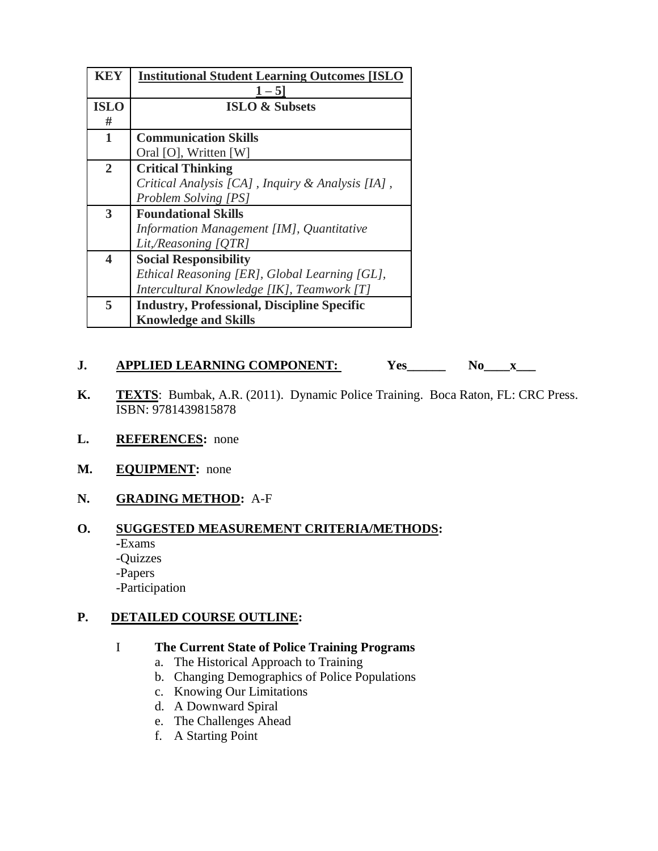| KEY                     | <b>Institutional Student Learning Outcomes [ISLO</b> |  |
|-------------------------|------------------------------------------------------|--|
|                         | $1 - 5$                                              |  |
| <b>ISLO</b>             | <b>ISLO &amp; Subsets</b>                            |  |
| #                       |                                                      |  |
| $\mathbf{1}$            | <b>Communication Skills</b>                          |  |
|                         | Oral [O], Written [W]                                |  |
| $\overline{2}$          | <b>Critical Thinking</b>                             |  |
|                         | Critical Analysis [CA], Inquiry & Analysis [IA],     |  |
|                         | <b>Problem Solving [PS]</b>                          |  |
| 3                       | <b>Foundational Skills</b>                           |  |
|                         | Information Management [IM], Quantitative            |  |
|                         | Lit,/Reasoning [QTR]                                 |  |
| $\overline{\mathbf{4}}$ | <b>Social Responsibility</b>                         |  |
|                         | Ethical Reasoning [ER], Global Learning [GL],        |  |
|                         | Intercultural Knowledge [IK], Teamwork [T]           |  |
| 5                       | <b>Industry, Professional, Discipline Specific</b>   |  |
|                         | <b>Knowledge and Skills</b>                          |  |

### 

- **J. APPLIED LEARNING COMPONENT:** Yes\_\_\_\_\_\_ No\_\_\_\_\_\_\_<br>**K. TEXTS**: Bumbak, A.R. (2011). Dynamic Police Training. Boca Raton, FL: CRC Press. ISBN: 9781439815878
- **L. REFERENCES:** none
- **M. EQUIPMENT:** none

# **N. GRADING METHOD:** A-F

#### **O. SUGGESTED MEASUREMENT CRITERIA/METHODS:**

- **-**Exams
- -Quizzes
- -Papers

-Participation

### **P. DETAILED COURSE OUTLINE:**

### I **The Current State of Police Training Programs**

- a. The Historical Approach to Training
- b. Changing Demographics of Police Populations
- c. Knowing Our Limitations
- d. A Downward Spiral
- e. The Challenges Ahead
- f. A Starting Point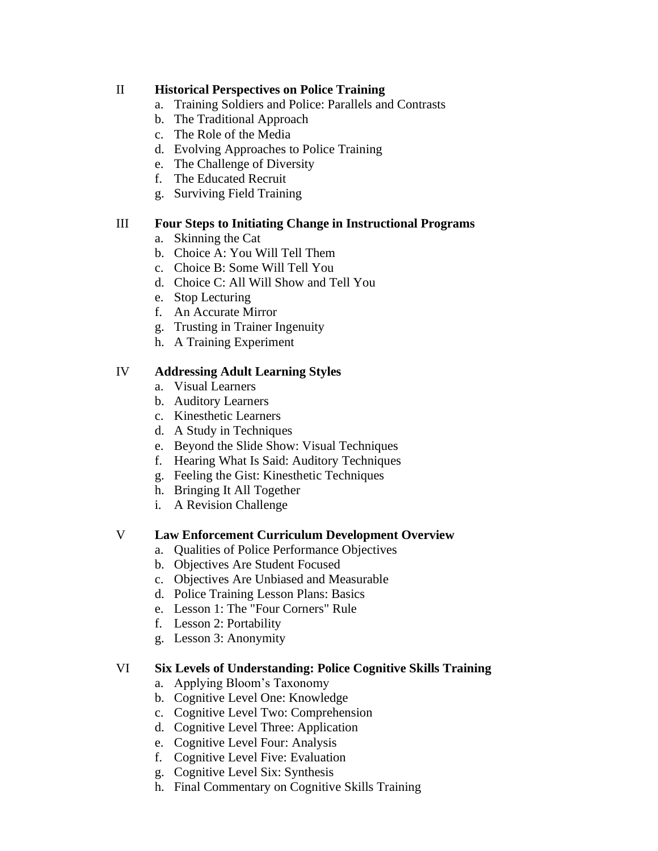### II **Historical Perspectives on Police Training**

- a. Training Soldiers and Police: Parallels and Contrasts
- b. The Traditional Approach
- c. The Role of the Media
- d. Evolving Approaches to Police Training
- e. The Challenge of Diversity
- f. The Educated Recruit
- g. Surviving Field Training

#### III **Four Steps to Initiating Change in Instructional Programs**

- a. Skinning the Cat
- b. Choice A: You Will Tell Them
- c. Choice B: Some Will Tell You
- d. Choice C: All Will Show and Tell You
- e. Stop Lecturing
- f. An Accurate Mirror
- g. Trusting in Trainer Ingenuity
- h. A Training Experiment

#### IV **Addressing Adult Learning Styles**

- a. Visual Learners
- b. Auditory Learners
- c. Kinesthetic Learners
- d. A Study in Techniques
- e. Beyond the Slide Show: Visual Techniques
- f. Hearing What Is Said: Auditory Techniques
- g. Feeling the Gist: Kinesthetic Techniques
- h. Bringing It All Together
- i. A Revision Challenge

#### V **Law Enforcement Curriculum Development Overview**

- a. Qualities of Police Performance Objectives
- b. Objectives Are Student Focused
- c. Objectives Are Unbiased and Measurable
- d. Police Training Lesson Plans: Basics
- e. Lesson 1: The "Four Corners" Rule
- f. Lesson 2: Portability
- g. Lesson 3: Anonymity

#### VI **Six Levels of Understanding: Police Cognitive Skills Training**

- a. Applying Bloom's Taxonomy
- b. Cognitive Level One: Knowledge
- c. Cognitive Level Two: Comprehension
- d. Cognitive Level Three: Application
- e. Cognitive Level Four: Analysis
- f. Cognitive Level Five: Evaluation
- g. Cognitive Level Six: Synthesis
- h. Final Commentary on Cognitive Skills Training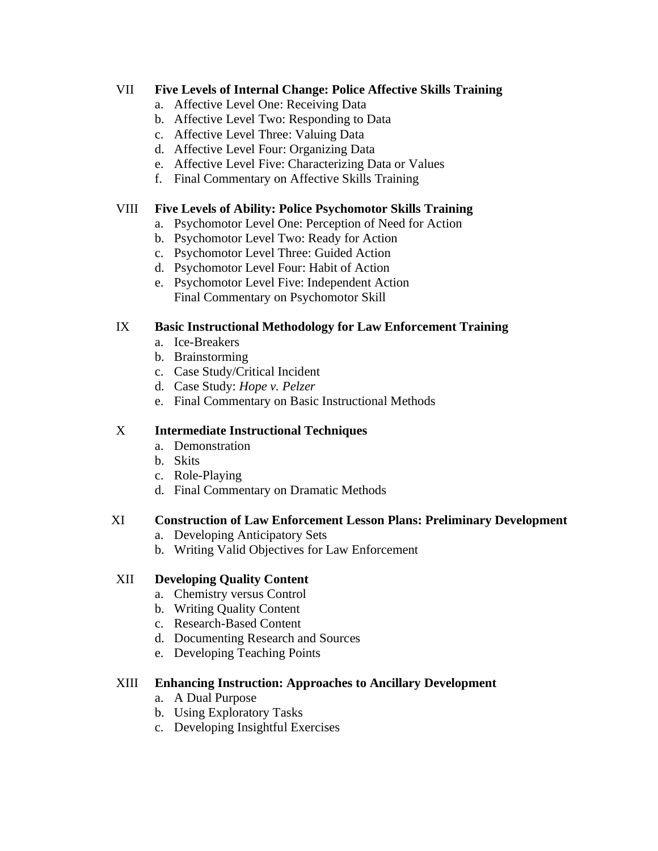### VII **Five Levels of Internal Change: Police Affective Skills Training**

- a. Affective Level One: Receiving Data
- b. Affective Level Two: Responding to Data
- c. Affective Level Three: Valuing Data
- d. Affective Level Four: Organizing Data
- e. Affective Level Five: Characterizing Data or Values
- f. Final Commentary on Affective Skills Training

### VIII **Five Levels of Ability: Police Psychomotor Skills Training**

- a. Psychomotor Level One: Perception of Need for Action
- b. Psychomotor Level Two: Ready for Action
- c. Psychomotor Level Three: Guided Action
- d. Psychomotor Level Four: Habit of Action
- e. Psychomotor Level Five: Independent Action Final Commentary on Psychomotor Skill

# IX **Basic Instructional Methodology for Law Enforcement Training**

- a. Ice-Breakers
- b. Brainstorming
- c. Case Study/Critical Incident
- d. Case Study: *Hope v. Pelzer*
- e. Final Commentary on Basic Instructional Methods

### X **Intermediate Instructional Techniques**

- a. Demonstration
- b. Skits
- c. Role-Playing
- d. Final Commentary on Dramatic Methods

### XI **Construction of Law Enforcement Lesson Plans: Preliminary Development**

- a. Developing Anticipatory Sets
- b. Writing Valid Objectives for Law Enforcement

### XII **Developing Quality Content**

- a. Chemistry versus Control
- b. Writing Quality Content
- c. Research-Based Content
- d. Documenting Research and Sources
- e. Developing Teaching Points

### XIII **Enhancing Instruction: Approaches to Ancillary Development**

- a. A Dual Purpose
- b. Using Exploratory Tasks
- c. Developing Insightful Exercises